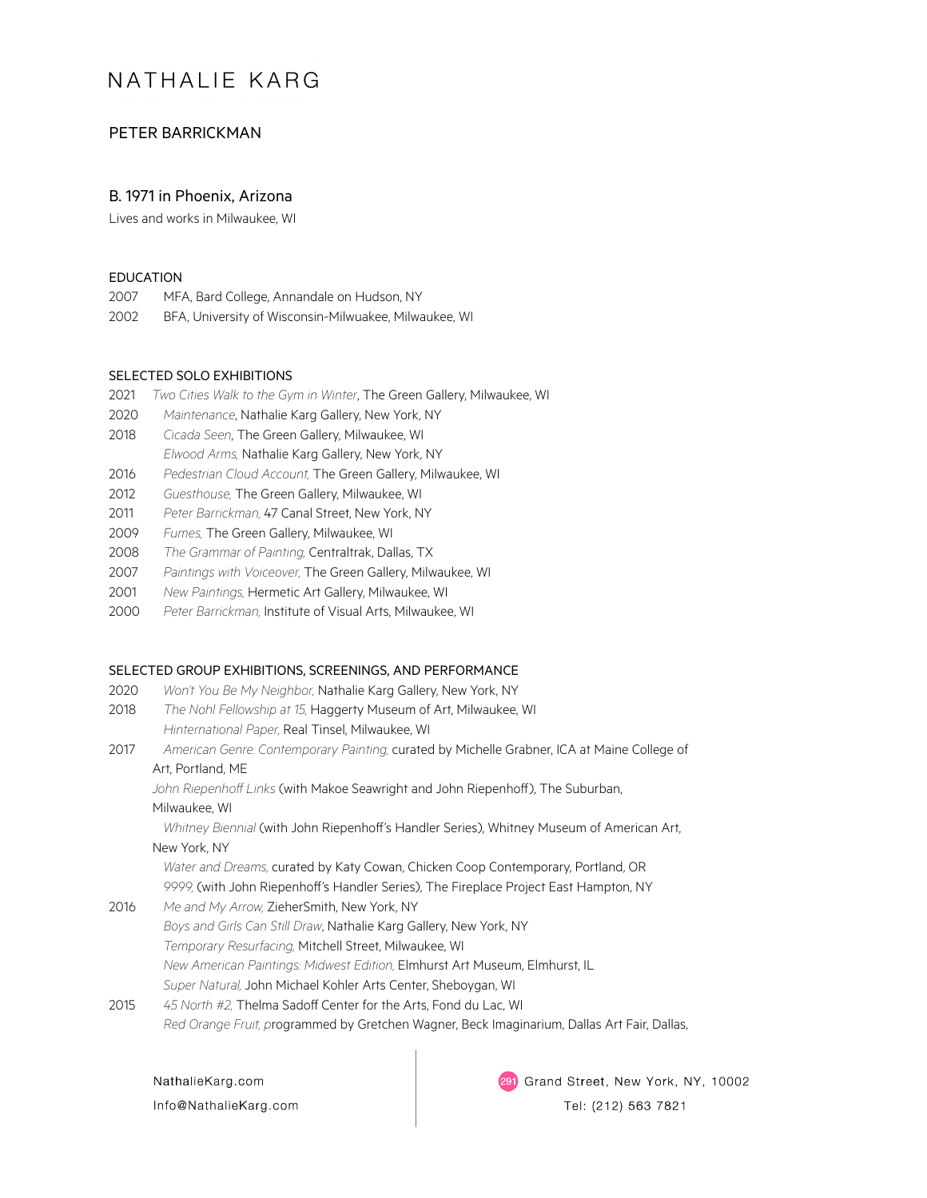# NATHALIF KARG

# PETER BARRICKMAN

## B. 1971 in Phoenix, Arizona

Lives and works in Milwaukee, WI

### EDUCATION

2007 MFA, Bard College, Annandale on Hudson, NY 2002 BFA, University of Wisconsin-Milwuakee, Milwaukee, WI

#### SELECTED SOLO EXHIBITIONS

- 2021 *Two Cities Walk to the Gym in Winter*, The Green Gallery, Milwaukee, WI
- 2020 *Maintenance*, Nathalie Karg Gallery, New York, NY
- 2018 *Cicada Seen*, The Green Gallery, Milwaukee, WI *Elwood Arms,* Nathalie Karg Gallery, New York, NY
- 2016 *Pedestrian Cloud Account,* The Green Gallery, Milwaukee, WI
- 2012 *Guesthouse,* The Green Gallery, Milwaukee, WI
- 2011 *Peter Barrickman,* 47 Canal Street, New York, NY
- 2009 *Fumes,* The Green Gallery, Milwaukee, WI
- 2008 *The Grammar of Painting,* Centraltrak, Dallas, TX
- 2007 *Paintings with Voiceover,* The Green Gallery, Milwaukee, WI
- 2001 *New Paintings,* Hermetic Art Gallery, Milwaukee, WI
- 2000 *Peter Barrickman,* Institute of Visual Arts, Milwaukee, WI

### SELECTED GROUP EXHIBITIONS, SCREENINGS, AND PERFORMANCE

- 2020 *Won't You Be My Neighbor,* Nathalie Karg Gallery, New York, NY
- 2018 *The Nohl Fellowship at 15,* Haggerty Museum of Art, Milwaukee, WI *Hinternational Paper,* Real Tinsel, Milwaukee, WI
- 2017 *American Genre: Contemporary Painting,* curated by Michelle Grabner, ICA at Maine College of Art, Portland, ME

*John Riepenhoff Links* (with Makoe Seawright and John Riepenhoff), The Suburban,

### Milwaukee, WI

*Whitney Biennial* (with John Riepenhoff's Handler Series), Whitney Museum of American Art, New York, NY

*Water and Dreams,* curated by Katy Cowan, Chicken Coop Contemporary, Portland, OR *9999,* (with John Riepenhoff's Handler Series), The Fireplace Project East Hampton, NY

- 2016 *Me and My Arrow,* ZieherSmith, New York, NY
	- *Boys and Girls Can Still Draw*, Nathalie Karg Gallery, New York, NY *Temporary Resurfacing,* Mitchell Street, Milwaukee, WI *New American Paintings: Midwest Edition,* Elmhurst Art Museum, Elmhurst, IL *Super Natural,* John Michael Kohler Arts Center, Sheboygan, WI
- 2015 *45 North #2,* Thelma Sadoff Center for the Arts, Fond du Lac, WI *Red Orange Fruit, p*rogrammed by Gretchen Wagner, Beck Imaginarium, Dallas Art Fair, Dallas,

NathalieKarg.com Info@NathalieKarg.com 291 Grand Street, New York, NY, 10002

Tel: (212) 563 7821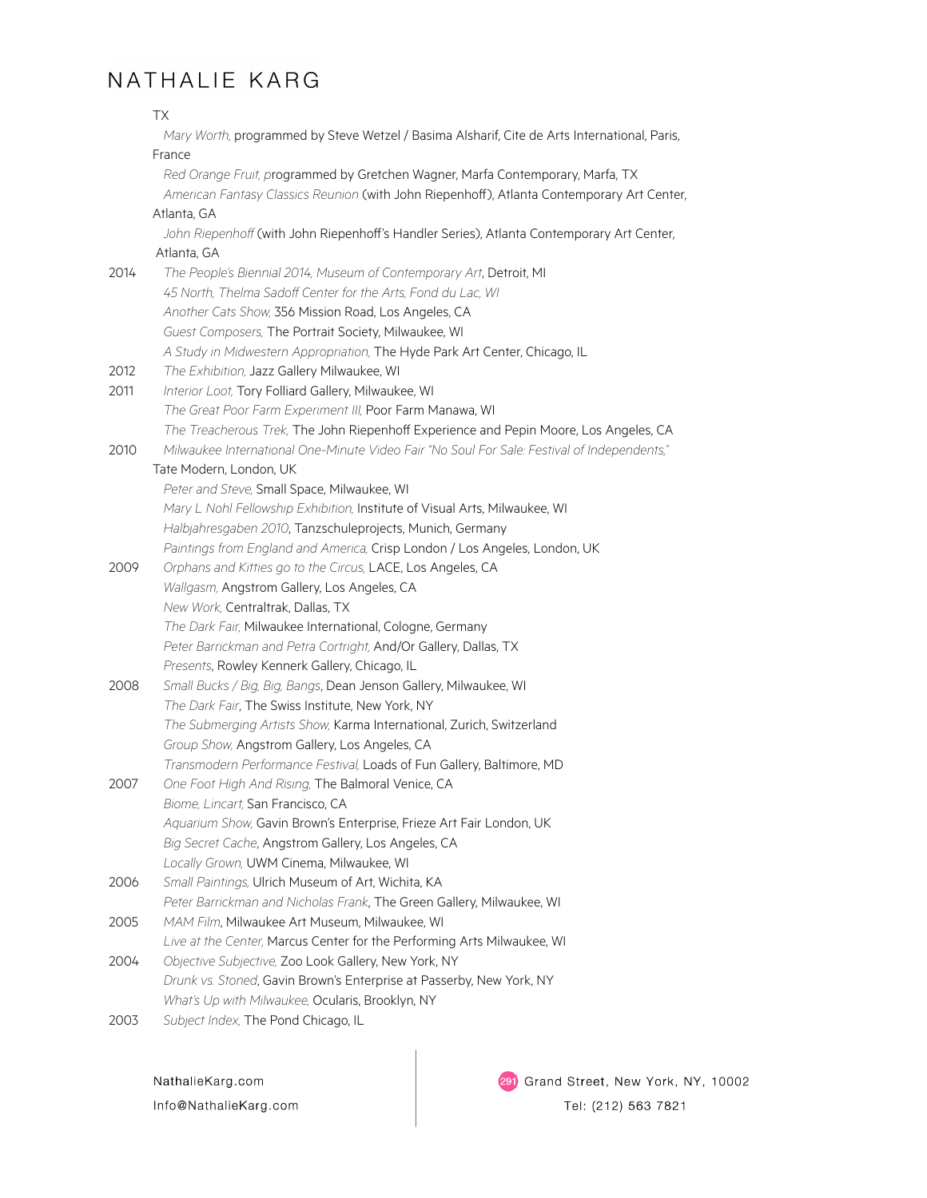# NATHALIE KARG

|      | ТX                                                                                                                                                                           |
|------|------------------------------------------------------------------------------------------------------------------------------------------------------------------------------|
|      | Mary Worth, programmed by Steve Wetzel / Basima Alsharif, Cite de Arts International, Paris,                                                                                 |
|      | France                                                                                                                                                                       |
|      | Red Orange Fruit, programmed by Gretchen Wagner, Marfa Contemporary, Marfa, TX<br>American Fantasy Classics Reunion (with John Riepenhoff), Atlanta Contemporary Art Center, |
|      | Atlanta, GA                                                                                                                                                                  |
|      | John Riepenhoff (with John Riepenhoff's Handler Series), Atlanta Contemporary Art Center,<br>Atlanta, GA                                                                     |
| 2014 | The People's Biennial 2014, Museum of Contemporary Art, Detroit, MI                                                                                                          |
|      | 45 North, Thelma Sadoff Center for the Arts, Fond du Lac, WI                                                                                                                 |
|      | Another Cats Show, 356 Mission Road, Los Angeles, CA                                                                                                                         |
|      | Guest Composers, The Portrait Society, Milwaukee, WI                                                                                                                         |
|      | A Study in Midwestern Appropriation, The Hyde Park Art Center, Chicago, IL                                                                                                   |
| 2012 | The Exhibition, Jazz Gallery Milwaukee, WI                                                                                                                                   |
| 2011 | Interior Loot, Tory Folliard Gallery, Milwaukee, WI                                                                                                                          |
|      | The Great Poor Farm Experiment III, Poor Farm Manawa, WI                                                                                                                     |
|      | The Treacherous Trek, The John Riepenhoff Experience and Pepin Moore, Los Angeles, CA                                                                                        |
| 2010 | Milwaukee International One-Minute Video Fair "No Soul For Sale: Festival of Independents,"                                                                                  |
|      | Tate Modern, London, UK                                                                                                                                                      |
|      | Peter and Steve, Small Space, Milwaukee, WI                                                                                                                                  |
|      | Mary L Nohl Fellowship Exhibition, Institute of Visual Arts, Milwaukee, WI                                                                                                   |
|      | Halbjahresgaben 2010, Tanzschuleprojects, Munich, Germany                                                                                                                    |
|      | Paintings from England and America, Crisp London / Los Angeles, London, UK                                                                                                   |
| 2009 | Orphans and Kitties go to the Circus, LACE, Los Angeles, CA                                                                                                                  |
|      | Wallgasm, Angstrom Gallery, Los Angeles, CA                                                                                                                                  |
|      | New Work, Centraltrak, Dallas, TX                                                                                                                                            |
|      | The Dark Fair, Milwaukee International, Cologne, Germany                                                                                                                     |
|      | Peter Barrickman and Petra Cortright, And/Or Gallery, Dallas, TX                                                                                                             |
| 2008 | Presents, Rowley Kennerk Gallery, Chicago, IL<br>Small Bucks / Big, Big, Bangs, Dean Jenson Gallery, Milwaukee, WI                                                           |
|      | The Dark Fair, The Swiss Institute, New York, NY                                                                                                                             |
|      | The Submerging Artists Show, Karma International, Zurich, Switzerland                                                                                                        |
|      | Group Show, Angstrom Gallery, Los Angeles, CA                                                                                                                                |
|      | Transmodern Performance Festival, Loads of Fun Gallery, Baltimore, MD                                                                                                        |
| 2007 | One Foot High And Rising, The Balmoral Venice, CA                                                                                                                            |
|      | Biome, Lincart, San Francisco, CA                                                                                                                                            |
|      | Aquarium Show, Gavin Brown's Enterprise, Frieze Art Fair London, UK                                                                                                          |
|      | Big Secret Cache, Angstrom Gallery, Los Angeles, CA                                                                                                                          |
|      | Locally Grown, UWM Cinema, Milwaukee, WI                                                                                                                                     |
| 2006 | Small Paintings, Ulrich Museum of Art, Wichita, KA                                                                                                                           |
|      | Peter Barrickman and Nicholas Frank, The Green Gallery, Milwaukee, WI                                                                                                        |
| 2005 | MAM Film, Milwaukee Art Museum, Milwaukee, WI                                                                                                                                |
|      | Live at the Center, Marcus Center for the Performing Arts Milwaukee, WI                                                                                                      |
| 2004 | Objective Subjective, Zoo Look Gallery, New York, NY                                                                                                                         |
|      | Drunk vs. Stoned, Gavin Brown's Enterprise at Passerby, New York, NY<br>What's Up with Milwaukee, Ocularis, Brooklyn, NY                                                     |
| 2003 | Subject Index, The Pond Chicago, IL                                                                                                                                          |
|      |                                                                                                                                                                              |

NathalieKarg.com Info@NathalieKarg.com 291 Grand Street, New York, NY, 10002 Tel: (212) 563 7821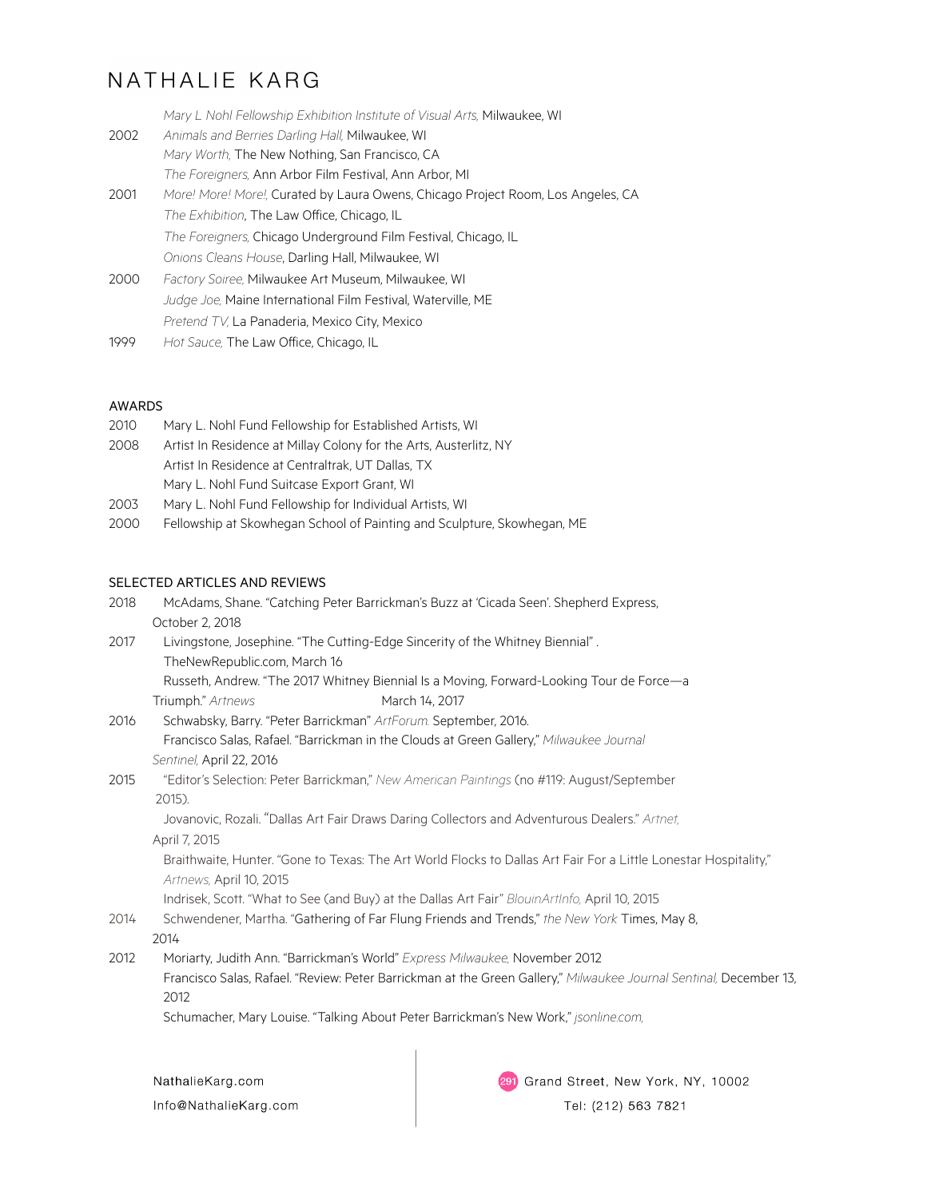# NATHALIE KARG

|      | Mary L Nohl Fellowship Exhibition Institute of Visual Arts, Milwaukee, WI        |
|------|----------------------------------------------------------------------------------|
| 2002 | Animals and Berries Darling Hall, Milwaukee, WI                                  |
|      | Mary Worth, The New Nothing, San Francisco, CA                                   |
|      | The Foreigners, Ann Arbor Film Festival, Ann Arbor, MI                           |
| 2001 | More! More! More!, Curated by Laura Owens, Chicago Project Room, Los Angeles, CA |
|      | The Exhibition, The Law Office, Chicago, IL                                      |
|      | The Foreigners, Chicago Underground Film Festival, Chicago, IL                   |
|      | Onions Cleans House, Darling Hall, Milwaukee, WI                                 |
| 2000 | Factory Soiree, Milwaukee Art Museum, Milwaukee, WI                              |
|      | Judge Joe, Maine International Film Festival, Waterville, ME                     |
|      | Pretend TV, La Panaderia, Mexico City, Mexico                                    |
|      |                                                                                  |

1999 *Hot Sauce,* The Law Office, Chicago, IL

## AWARDS

| 2010 | Mary L. Nohl Fund Fellowship for Established Artists, WI          |
|------|-------------------------------------------------------------------|
| 2008 | Artist In Residence at Millay Colony for the Arts, Austerlitz, NY |
|      | Artist In Residence at Centraltrak, UT Dallas, TX                 |
|      | Mary L. Nohl Fund Suitcase Export Grant, WI                       |
| 2003 | Mary L. Nohl Fund Fellowship for Individual Artists, WI           |

2000 Fellowship at Skowhegan School of Painting and Sculpture, Skowhegan, ME

# SELECTED ARTICLES AND REVIEWS

| 2018 | McAdams, Shane. "Catching Peter Barrickman's Buzz at 'Cicada Seen'. Shepherd Express,                                                       |  |  |
|------|---------------------------------------------------------------------------------------------------------------------------------------------|--|--|
|      | October 2, 2018                                                                                                                             |  |  |
| 2017 | Livingstone, Josephine. "The Cutting-Edge Sincerity of the Whitney Biennial".                                                               |  |  |
|      | TheNewRepublic.com, March 16                                                                                                                |  |  |
|      | Russeth, Andrew. "The 2017 Whitney Biennial Is a Moving, Forward-Looking Tour de Force-a                                                    |  |  |
|      | Triumph." Artnews<br>March 14, 2017                                                                                                         |  |  |
| 2016 | Schwabsky, Barry. "Peter Barrickman" ArtForum. September, 2016.                                                                             |  |  |
|      | Francisco Salas, Rafael. "Barrickman in the Clouds at Green Gallery," Milwaukee Journal                                                     |  |  |
|      | Sentinel, April 22, 2016                                                                                                                    |  |  |
| 2015 | "Editor's Selection: Peter Barrickman," New American Paintings (no #119: August/September                                                   |  |  |
|      | 2015).                                                                                                                                      |  |  |
|      | Jovanovic, Rozali. "Dallas Art Fair Draws Daring Collectors and Adventurous Dealers." Artnet,                                               |  |  |
|      | April 7, 2015                                                                                                                               |  |  |
|      | Braithwaite, Hunter. "Gone to Texas: The Art World Flocks to Dallas Art Fair For a Little Lonestar Hospitality,"<br>Artnews, April 10, 2015 |  |  |
|      | Indrisek, Scott. "What to See (and Buy) at the Dallas Art Fair" BlouinArtInfo, April 10, 2015                                               |  |  |
| 2014 | Schwendener, Martha. "Gathering of Far Flung Friends and Trends," the New York Times, May 8,                                                |  |  |
|      | 2014                                                                                                                                        |  |  |
| 2012 | Moriarty, Judith Ann. "Barrickman's World" Express Milwaukee, November 2012                                                                 |  |  |
|      | Francisco Salas, Rafael. "Review: Peter Barrickman at the Green Gallery," Milwaukee Journal Sentinal, December 13,                          |  |  |
|      | 2012                                                                                                                                        |  |  |
|      | Schumacher, Mary Louise. "Talking About Peter Barrickman's New Work," jsonline.com,                                                         |  |  |
|      |                                                                                                                                             |  |  |
|      | NathalieKarg.com<br>291 Grand Street, New York, NY, 10002                                                                                   |  |  |

Info@NathalieKarg.com

Tel: (212) 563 7821